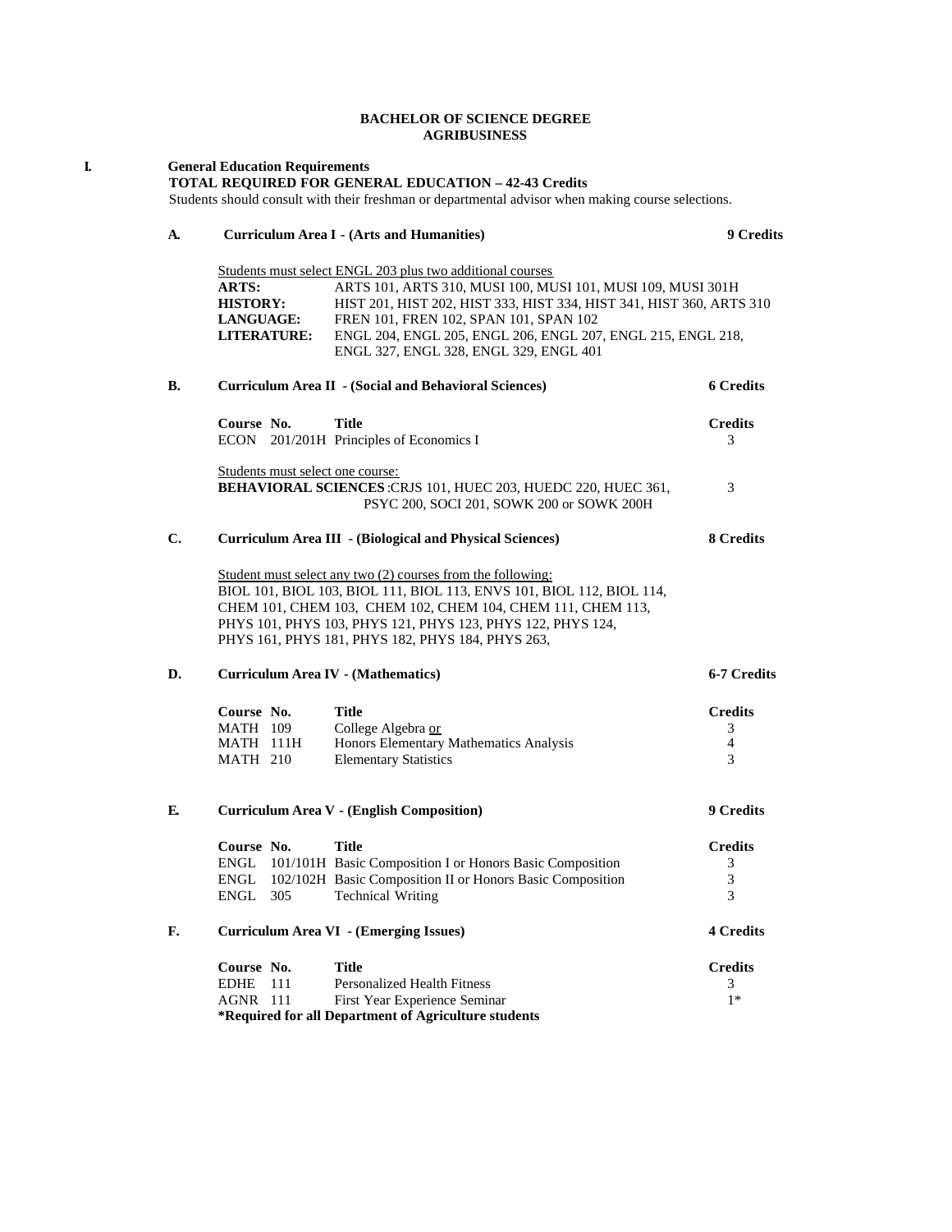## **BACHELOR OF SCIENCE DEGREE AGRIBUSINESS**

| I. |    | <b>General Education Requirements</b><br>TOTAL REQUIRED FOR GENERAL EDUCATION - 42-43 Credits<br>Students should consult with their freshman or departmental advisor when making course selections.                                                                                                                                                                                                                |                                                                                                                                                            |                               |  |  |  |
|----|----|--------------------------------------------------------------------------------------------------------------------------------------------------------------------------------------------------------------------------------------------------------------------------------------------------------------------------------------------------------------------------------------------------------------------|------------------------------------------------------------------------------------------------------------------------------------------------------------|-------------------------------|--|--|--|
|    | A. | <b>Curriculum Area I - (Arts and Humanities)</b>                                                                                                                                                                                                                                                                                                                                                                   | 9 Credits                                                                                                                                                  |                               |  |  |  |
|    |    | Students must select ENGL 203 plus two additional courses<br>ARTS:<br>ARTS 101, ARTS 310, MUSI 100, MUSI 101, MUSI 109, MUSI 301H<br><b>HISTORY:</b><br>HIST 201, HIST 202, HIST 333, HIST 334, HIST 341, HIST 360, ARTS 310<br>LANGUAGE:<br>FREN 101, FREN 102, SPAN 101, SPAN 102<br><b>LITERATURE:</b><br>ENGL 204, ENGL 205, ENGL 206, ENGL 207, ENGL 215, ENGL 218,<br>ENGL 327, ENGL 328, ENGL 329, ENGL 401 |                                                                                                                                                            |                               |  |  |  |
|    | В. | <b>Curriculum Area II - (Social and Behavioral Sciences)</b>                                                                                                                                                                                                                                                                                                                                                       | <b>6 Credits</b>                                                                                                                                           |                               |  |  |  |
|    |    | Course No.                                                                                                                                                                                                                                                                                                                                                                                                         | <b>Title</b><br>ECON 201/201H Principles of Economics I                                                                                                    | <b>Credits</b><br>3           |  |  |  |
|    |    | Students must select one course:                                                                                                                                                                                                                                                                                                                                                                                   | BEHAVIORAL SCIENCES: CRJS 101, HUEC 203, HUEDC 220, HUEC 361,<br>PSYC 200, SOCI 201, SOWK 200 or SOWK 200H                                                 | 3                             |  |  |  |
|    | C. |                                                                                                                                                                                                                                                                                                                                                                                                                    | <b>Curriculum Area III - (Biological and Physical Sciences)</b>                                                                                            | 8 Credits                     |  |  |  |
|    |    | Student must select any two (2) courses from the following:<br>BIOL 101, BIOL 103, BIOL 111, BIOL 113, ENVS 101, BIOL 112, BIOL 114,<br>CHEM 101, CHEM 103, CHEM 102, CHEM 104, CHEM 111, CHEM 113,<br>PHYS 101, PHYS 103, PHYS 121, PHYS 123, PHYS 122, PHYS 124,<br>PHYS 161, PHYS 181, PHYS 182, PHYS 184, PHYS 263,                                                                                            |                                                                                                                                                            |                               |  |  |  |
|    | D. | <b>Curriculum Area IV - (Mathematics)</b>                                                                                                                                                                                                                                                                                                                                                                          |                                                                                                                                                            |                               |  |  |  |
|    |    | Course No.<br>MATH 109<br>MATH 111H<br><b>MATH 210</b>                                                                                                                                                                                                                                                                                                                                                             | <b>Title</b><br>College Algebra or<br>Honors Elementary Mathematics Analysis<br><b>Elementary Statistics</b>                                               | <b>Credits</b><br>3<br>4<br>3 |  |  |  |
|    | E. | <b>Curriculum Area V - (English Composition)</b>                                                                                                                                                                                                                                                                                                                                                                   |                                                                                                                                                            | 9 Credits                     |  |  |  |
|    |    | Course No.<br>ENGL<br>ENGL<br>ENGL<br>305                                                                                                                                                                                                                                                                                                                                                                          | Title<br>101/101H Basic Composition I or Honors Basic Composition<br>102/102H Basic Composition II or Honors Basic Composition<br><b>Technical Writing</b> | <b>Credits</b><br>3<br>3<br>3 |  |  |  |
|    | F. | Curriculum Area VI - (Emerging Issues)                                                                                                                                                                                                                                                                                                                                                                             |                                                                                                                                                            |                               |  |  |  |
|    |    | Course No.<br><b>EDHE</b><br>111<br><b>AGNR</b> 111                                                                                                                                                                                                                                                                                                                                                                | <b>Title</b><br><b>Personalized Health Fitness</b><br>First Year Experience Seminar<br>*Required for all Department of Agriculture students                | <b>Credits</b><br>3<br>$1*$   |  |  |  |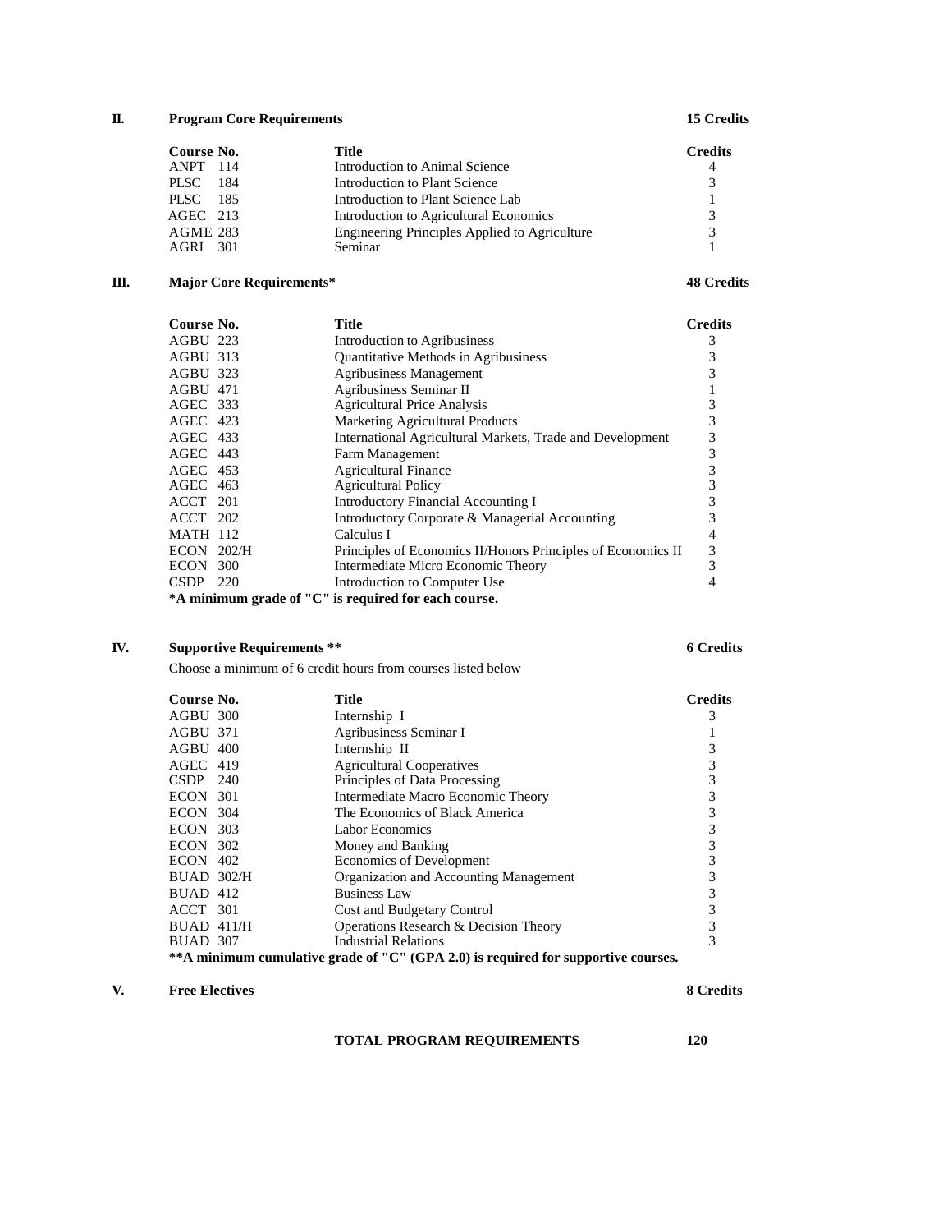## **II. Program Core Requirements 15 Credits**

| Course No.      | Title                                         | <b>Credits</b> |
|-----------------|-----------------------------------------------|----------------|
| <b>ANPT</b> 114 | Introduction to Animal Science                | 4              |
| PLSC –<br>- 184 | Introduction to Plant Science                 | $\mathcal{F}$  |
| PLSC 185        | Introduction to Plant Science Lab             |                |
| $AGEC$ 213      | Introduction to Agricultural Economics        | $\mathcal{R}$  |
| AGME 283        | Engineering Principles Applied to Agriculture | 3              |
| 301<br>AGRI     | Seminar                                       |                |

# **III. Major Core Requirements\* 48 Credits**

| Course No. | <b>Title</b>                                                                                                                                                                                                | <b>Credits</b>                                       |
|------------|-------------------------------------------------------------------------------------------------------------------------------------------------------------------------------------------------------------|------------------------------------------------------|
|            | Introduction to Agribusiness                                                                                                                                                                                | 3                                                    |
|            | <b>Quantitative Methods in Agribusiness</b>                                                                                                                                                                 | 3                                                    |
|            | <b>Agribusiness Management</b>                                                                                                                                                                              | 3                                                    |
|            | Agribusiness Seminar II                                                                                                                                                                                     |                                                      |
|            | <b>Agricultural Price Analysis</b>                                                                                                                                                                          | 3                                                    |
|            | <b>Marketing Agricultural Products</b>                                                                                                                                                                      | 3                                                    |
|            | International Agricultural Markets, Trade and Development                                                                                                                                                   | 3                                                    |
|            | Farm Management                                                                                                                                                                                             | 3                                                    |
|            | <b>Agricultural Finance</b>                                                                                                                                                                                 | 3                                                    |
|            | <b>Agricultural Policy</b>                                                                                                                                                                                  | 3                                                    |
|            | Introductory Financial Accounting I                                                                                                                                                                         | 3                                                    |
|            | Introductory Corporate & Managerial Accounting                                                                                                                                                              | 3                                                    |
|            | Calculus I                                                                                                                                                                                                  | 4                                                    |
|            | Principles of Economics II/Honors Principles of Economics II                                                                                                                                                | 3                                                    |
|            | Intermediate Micro Economic Theory                                                                                                                                                                          | 3                                                    |
|            | Introduction to Computer Use                                                                                                                                                                                |                                                      |
|            |                                                                                                                                                                                                             |                                                      |
|            | AGBU 223<br>AGBU 313<br>AGBU 323<br>AGBU 471<br>AGEC 333<br>AGEC 423<br>AGEC 433<br>AGEC 443<br>$AGEC$ 453<br>AGEC 463<br>ACCT 201<br>ACCT 202<br><b>MATH 112</b><br>$ECON$ 202/H<br>ECON 300<br>$CSDP$ 220 | *A minimum grade of "C" is required for each course. |

# **IV. Supportive Requirements \*\* 6 Credits**

Choose a minimum of 6 credit hours from courses listed below

| Course No.                                                                        | <b>Title</b>                           | <b>Credits</b> |  |  |
|-----------------------------------------------------------------------------------|----------------------------------------|----------------|--|--|
| AGBU 300                                                                          | Internship I                           |                |  |  |
| AGBU 371                                                                          | Agribusiness Seminar I                 |                |  |  |
| $AGBU$ 400                                                                        | Internship II                          |                |  |  |
| $AGEC$ 419                                                                        | <b>Agricultural Cooperatives</b>       | 3              |  |  |
| $CSDP$ 240                                                                        | Principles of Data Processing          | 3              |  |  |
| ECON 301                                                                          | Intermediate Macro Economic Theory     | 3              |  |  |
| $ECON$ 304                                                                        | The Economics of Black America         |                |  |  |
| <b>ECON 303</b>                                                                   | Labor Economics                        |                |  |  |
| <b>ECON 302</b>                                                                   | Money and Banking                      |                |  |  |
| $ECON$ 402                                                                        | Economics of Development               |                |  |  |
| <b>BUAD 302/H</b>                                                                 | Organization and Accounting Management |                |  |  |
| BUAD 412                                                                          | <b>Business Law</b>                    | 3              |  |  |
| ACCT 301                                                                          | Cost and Budgetary Control             |                |  |  |
| $BUAD$ 411/H                                                                      | Operations Research & Decision Theory  | 3              |  |  |
| BUAD 307                                                                          | <b>Industrial Relations</b>            | 3              |  |  |
| **A minimum cumulative grade of "C" (GPA 2.0) is required for supportive courses. |                                        |                |  |  |

### **V. Free Electives 8 Credits**

**TOTAL PROGRAM REQUIREMENTS 120**